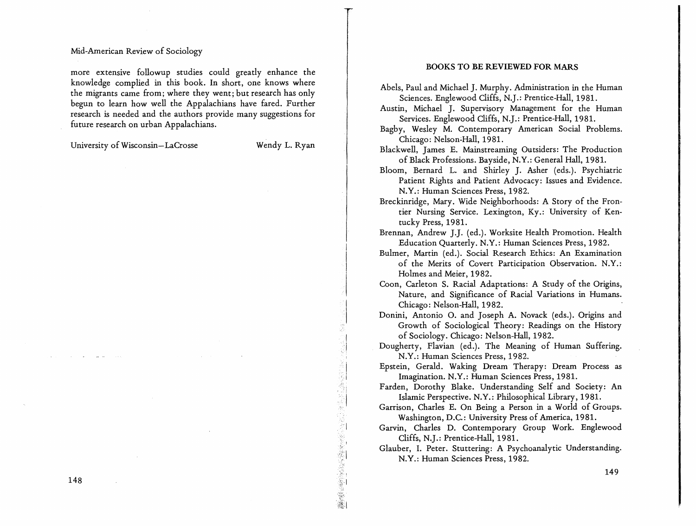### Mid-American Review of Sociology

more extensive followup studies could greatly enhance the knowledge complied in this book. In short, one knows where the migrants came from; where they went; but research has only begun to learn how well the Appalachians have fared. Further research is needed and the authors provide many suggestions for future research on urban Appalachians.

University of Wisconsin-LaCrosse

Wendy L. Ryan

**この時代の時代に、「今回の時代の「時代の「時代の「時代の「時代」の「時代」ということに、「時代の「時代」ということに、「時代の「時代」ということに、「時代の「時代」ということに、「時代の「時代」ということに、「時代の「時代」ということに、「時代の「時代」ということに、「時代の「時代」ということに、「時代の「時代」ということに、「時代の「時代」ということに、「時代の「時代」ということに、「時代の「時代」ということに、「時代の「時代」と** 

### BOOKS TO BE REVIEWED FOR MARS

- Abels, Paul and Michael J. Murphy. Administration in the Human Sciences. Englewood Cliffs, N.J.: Prentice-Hall, 1981.
- Austin, Michael ]. Supervisory Management for the Human Services. Englewood Cliffs, N.J.: Prentice-Hall, 1981.
- Bagby, Wesley M. Contemporary American Social Problems. Chicago: Nelson-Hall, 1981.

Blackwell, James E. Mainstreaming Outsiders: The Production of Black Professions. Bayside, N.Y.: General Hall, 1981.

- Bloom, Bernard L. and Shirley J. Asher (eds.). Psychiatric Patient Rights and Patient Advocacy: Issues and Evidence. N.Y.: Human Sciences Press, 1982.
- Breckinridge, Mary. Wide Neighborhoods: A Story of the Frontier Nursing Service. Lexington, Ky.: University of Kentucky Press, 1981.
- Brennan, Andrew J.J. (ed.). Worksite Health Promotion. Health Education Quarterly. N.Y.: Human Sciences Press, 1982.
- Bulmer, Martin (ed.). Social Research Ethics: An Examination of the Merits of Covert Participation Observation. N.Y.: Holmes and Meier, 1982.
- Coon, Carleton S. Racial Adaptations: A Study of the Origins, Nature, and Significance of Racial Variations in Humans. Chicago: Nelson-Hall, 1982.

Donini, Antonio o. and Joseph A. Novack (eds.). Origins and Growth of Sociological Theory: Readings on the History of Sociology. Chicago: Nelson-Hall, 1982.

Dougherty, Flavian (ed.). The Meaning of Human Suffering. N.Y.: Human Sciences Press, 1982.

Epstein, Gerald. Waking Dream- Therapy: Dream Process as Imagination. N.Y.: Human Sciences Press, 1981.

Farden, Dorothy Blake. Understanding Self and Society: An Islamic Perspective. N.Y.: Philosophical Library, 1981.

Garrison, Charles E. On Being a Person in a World of Groups. Washington, D.C.: University Press of America, 1981.

Garvin, Charles D. Contemporary Group Work. Englewood Cliffs, N.].: Prentice-Hall, 1981.

Glauber, I. Peter. Stuttering: A Psychoanalytic Understanding. N.Y.: Human Sciences Press, 1982.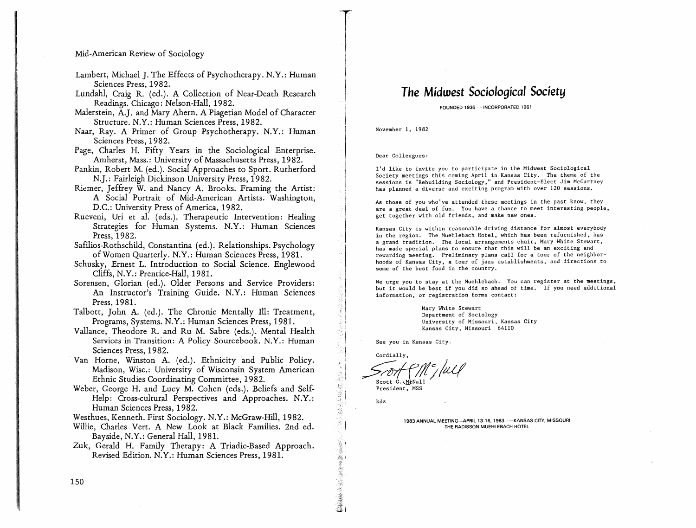#### Mid-American Review of Sociology

- Lambert, Michael J. The Effects of Psychotherapy. N.Y.: Human Sciences Press, 1982.
- Lundahl, Craig R. (ed.). A Collection of Near-Death Research Readings. Chicago: Nelson-Hall, 1982.
- Malerstein, A.J. and Mary Ahern. A Piagetian Model of Character Structure. N.Y.: Human Sciences Press, 1982.
- Naar, Ray. A Primer of Group Psychotherapy. N.Y.: Human Sciences Press, 1982.
- Page, Charles H. Fifty Years in the Sociological Enterprise. Amherst, Mass.: University of Massachusetts Press, 1982.
- Pankin, Robert M. (ed.). Social Approaches to Sport. Rutherford N.J.: Fairleigh Dickinson University Press, 1982.
- Riemer, Jeffrey W. and Nancy A. Brooks. Framing the Artist: A Social Portrait of Mid-American Artists. Washington, D.C.: University Press of America, 1982.
- Rueveni, Uri et al. (eds.). Therapeutic Intervention: Healing Strategies for Human Systems. N.Y.: Human Sciences Press, 1982.
- Safilios-Rothschild, Constantina (ed.). Relationships. Psychology of Women Quarterly. N.Y.: Human Sciences Press, 1981.
- Schusky, Ernest L. Introduction to Social Science. Englewood Cliffs, N.Y.: Prentice-Hall, 1981.
- Sorensen, Glorian (ed.). Older Persons and Service Providers: An Instructor's Training Guide. N.V.: Human Sciences Press, 1981.
- Talbott, John A. (ed.). The Chronic Mentally Ill: Treatment, Programs, Systems. N.V.: Human Sciences Press, 1981.
- Vallance, Theodore R. and Ru M. Sabre (eds.). Mental Health Services in Transition: A Policy Sourcebook. N.Y.: Human Sciences Press, 1982.
- 'Van Horne, Winston A. (ed.). Ethnicity 'and Public Policy. Madison, Wisc.: University of Wisconsin System American Ethnic Studies Coordinating Committee, 1982.
- Weber, George H. and Lucy M. Cohen (eds.), Beliefs and Self-Help: Cross-cultural Perspectives and Approaches. N.Y.: Human Sciences Press, 1982.
- Westhues, Kenneth. First Sociology. N.Y.: McGraw-Hill, 1982.
- Willie, Charles Vert. A New Look at Black Families. 2nd ed. Bayside, N.Y.: General Hall, 1981.
- Zuk, Gerald H. Family Therapy: A Triadic-Based Approach. Revised Edition. N.Y.: Human Sciences Press, 1981.

# The *Midwest Sociological Society*

FOUNDED 1936 -:-INCORPORATED 1961

November 1, 1982

Dear Colleagues:

I'd like to invite you to participate in the Midwest Sociological Society meetings this coming April in Kansas City. The theme of the sessions is "Rebuilding Sociology," and President-Elect Jim McCartney has planned a diverse and exciting program with over 120 sessions.

As those of you who've attended these meetings in the past know, they are a great deal of fun. You have a chance to meet interesting people, get together with old friends, and make new ones.

Kansas City is within reasonable driving distance for almost everybody in the region. The Muehlebach Hotel, which has been refurnished, has a grand tradition. The local arrangements chair, Mary White Stewart, has made special plans to ensure that this will be an exciting and rewarding meeting. Preliminary plans call for a tour of the neighborhoods of Kansas City, a tour of jazz establishments, and directions to some of the best food in the country.

We urge you to stay at the Muehlebach. You can register at the meetings, but it would be best if you did so ahead of time. If you need additional information, or registration forms contact:

> Mary White Stewart Department of Sociology University of Missouri, Kansas City Kansas City, Missouri 64110

See you in Kansas City.

Cordially, Scott G. MeNall

President, MSS

kdz

Ù,

1983 ANNUAL MEETING-APRIL 13-16, 1983--- KANSAS CITY, MISSOURI THE RADISSON MUEHLEBACH HOTEL

150